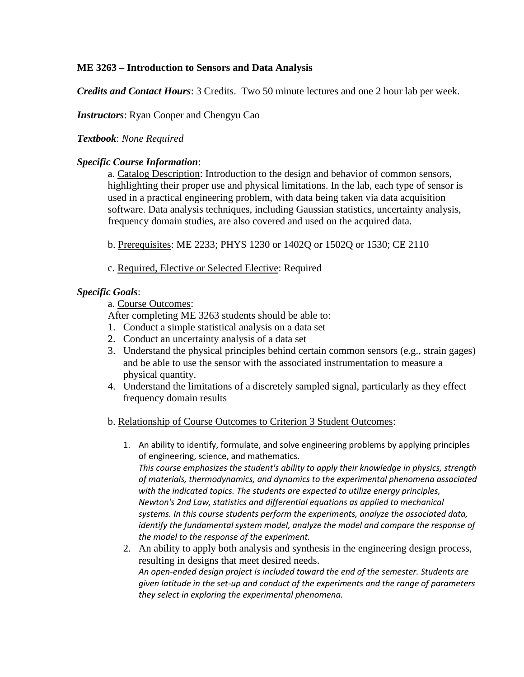# **ME 3263 – Introduction to Sensors and Data Analysis**

*Credits and Contact Hours*: 3 Credits. Two 50 minute lectures and one 2 hour lab per week.

## *Instructors*: Ryan Cooper and Chengyu Cao

#### *Textbook*: *None Required*

## *Specific Course Information*:

a. Catalog Description: Introduction to the design and behavior of common sensors, highlighting their proper use and physical limitations. In the lab, each type of sensor is used in a practical engineering problem, with data being taken via data acquisition software. Data analysis techniques, including Gaussian statistics, uncertainty analysis, frequency domain studies, are also covered and used on the acquired data.

b. Prerequisites: ME 2233; PHYS 1230 or 1402Q or 1502Q or 1530; CE 2110

c. Required, Elective or Selected Elective: Required

## *Specific Goals*:

a. Course Outcomes:

After completing ME 3263 students should be able to:

- 1. Conduct a simple statistical analysis on a data set
- 2. Conduct an uncertainty analysis of a data set
- 3. Understand the physical principles behind certain common sensors (e.g., strain gages) and be able to use the sensor with the associated instrumentation to measure a physical quantity.
- 4. Understand the limitations of a discretely sampled signal, particularly as they effect frequency domain results

#### b. Relationship of Course Outcomes to Criterion 3 Student Outcomes:

- 1. An ability to identify, formulate, and solve engineering problems by applying principles of engineering, science, and mathematics. *This course emphasizes the student's ability to apply their knowledge in physics, strength of materials, thermodynamics, and dynamics to the experimental phenomena associated with the indicated topics. The students are expected to utilize energy principles, Newton's 2nd Law, statistics and differential equations as applied to mechanical systems. In this course students perform the experiments, analyze the associated data, identify the fundamental system model, analyze the model and compare the response of the model to the response of the experiment.*
- 2. An ability to apply both analysis and synthesis in the engineering design process, resulting in designs that meet desired needs. *An open-ended design project is included toward the end of the semester. Students are given latitude in the set-up and conduct of the experiments and the range of parameters they select in exploring the experimental phenomena.*